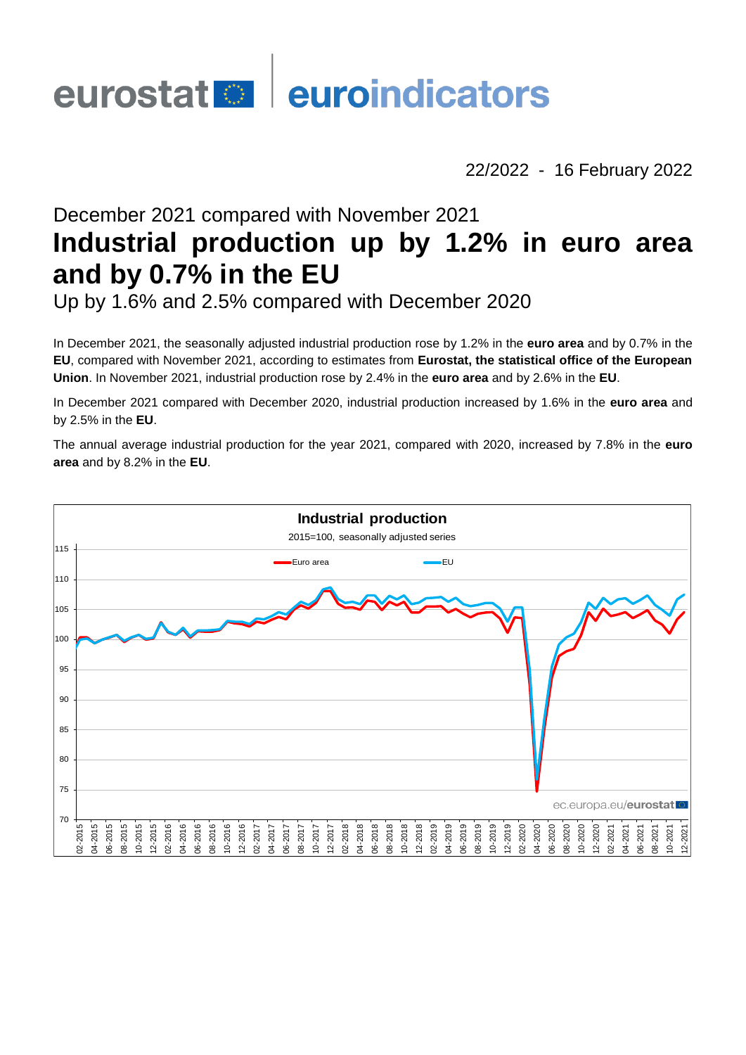# eurostat **de la euroindicators**

22/2022 - 16 February 2022

# December 2021 compared with November 2021 **Industrial production up by 1.2% in euro area and by 0.7% in the EU**

Up by 1.6% and 2.5% compared with December 2020

In December 2021, the seasonally adjusted industrial production rose by 1.2% in the **euro area** and by 0.7% in the **EU**, compared with November 2021, according to estimates from **Eurostat, the statistical office of the European Union**. In November 2021, industrial production rose by 2.4% in the **euro area** and by 2.6% in the **EU**.

In December 2021 compared with December 2020, industrial production increased by 1.6% in the **euro area** and by 2.5% in the **EU**.

The annual average industrial production for the year 2021, compared with 2020, increased by 7.8% in the **euro area** and by 8.2% in the **EU**.

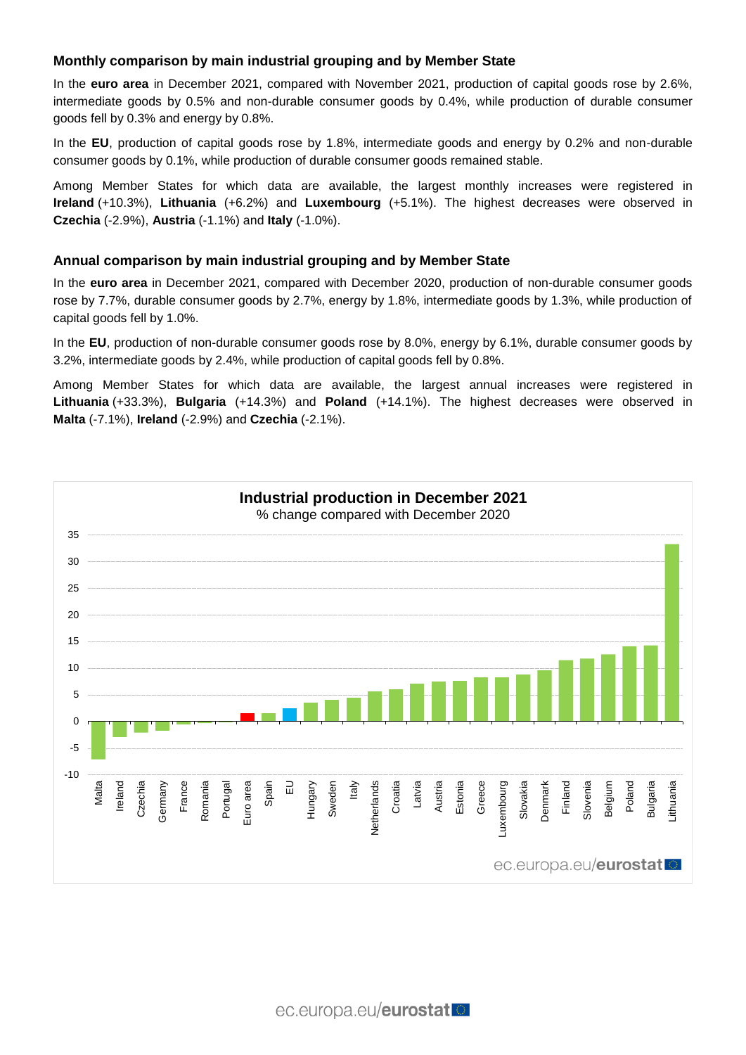# **Monthly comparison by main industrial grouping and by Member State**

In the **euro area** in December 2021, compared with November 2021, production of capital goods rose by 2.6%, intermediate goods by 0.5% and non-durable consumer goods by 0.4%, while production of durable consumer goods fell by 0.3% and energy by 0.8%.

In the **EU**, production of capital goods rose by 1.8%, intermediate goods and energy by 0.2% and non-durable consumer goods by 0.1%, while production of durable consumer goods remained stable.

Among Member States for which data are available, the largest monthly increases were registered in **Ireland** (+10.3%), **Lithuania** (+6.2%) and **Luxembourg** (+5.1%). The highest decreases were observed in **Czechia** (-2.9%), **Austria** (-1.1%) and **Italy** (-1.0%).

### **Annual comparison by main industrial grouping and by Member State**

In the **euro area** in December 2021, compared with December 2020, production of non-durable consumer goods rose by 7.7%, durable consumer goods by 2.7%, energy by 1.8%, intermediate goods by 1.3%, while production of capital goods fell by 1.0%.

In the **EU**, production of non-durable consumer goods rose by 8.0%, energy by 6.1%, durable consumer goods by 3.2%, intermediate goods by 2.4%, while production of capital goods fell by 0.8%.

Among Member States for which data are available, the largest annual increases were registered in **Lithuania** (+33.3%), **Bulgaria** (+14.3%) and **Poland** (+14.1%). The highest decreases were observed in **Malta** (-7.1%), **Ireland** (-2.9%) and **Czechia** (-2.1%).

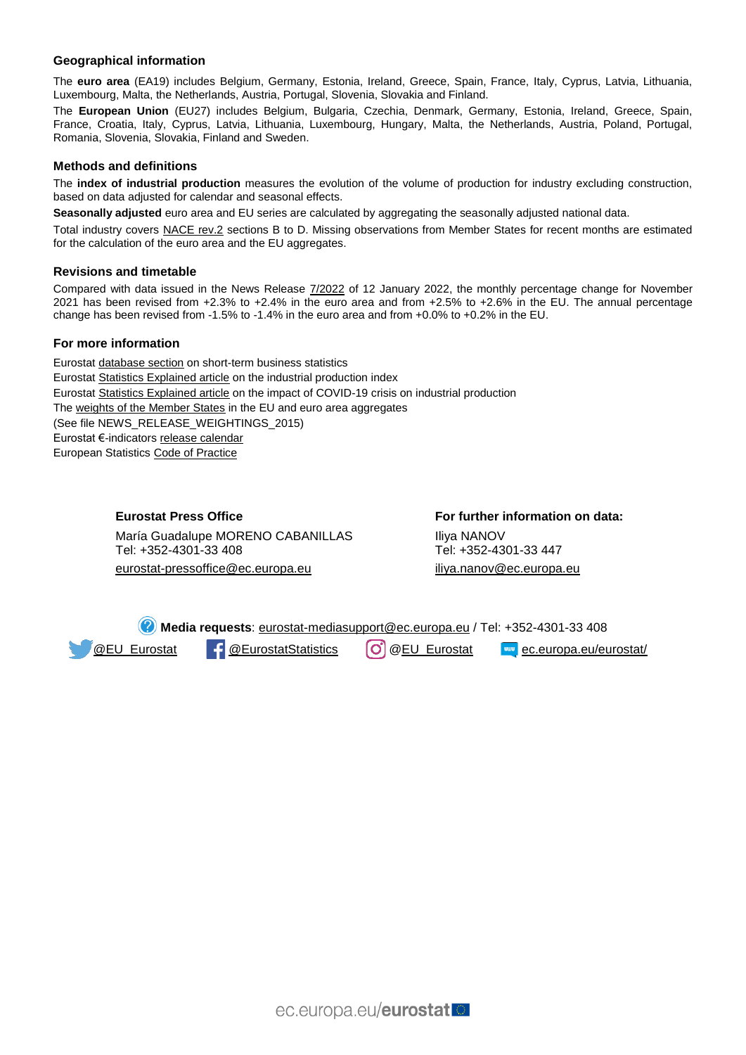#### **Geographical information**

The **euro area** (EA19) includes Belgium, Germany, Estonia, Ireland, Greece, Spain, France, Italy, Cyprus, Latvia, Lithuania, Luxembourg, Malta, the Netherlands, Austria, Portugal, Slovenia, Slovakia and Finland.

The **European Union** (EU27) includes Belgium, Bulgaria, Czechia, Denmark, Germany, Estonia, Ireland, Greece, Spain, France, Croatia, Italy, Cyprus, Latvia, Lithuania, Luxembourg, Hungary, Malta, the Netherlands, Austria, Poland, Portugal, Romania, Slovenia, Slovakia, Finland and Sweden.

#### **Methods and definitions**

The **index of industrial production** measures the evolution of the volume of production for industry excluding construction, based on data adjusted for calendar and seasonal effects.

**Seasonally adjusted** euro area and EU series are calculated by aggregating the seasonally adjusted national data.

Total industry covers [NACE rev.2](https://ec.europa.eu/eurostat/ramon/nomenclatures/index.cfm?TargetUrl=LST_NOM_DTL&StrNom=NACE_REV2&StrLanguageCode=EN&IntPcKey=&StrLayoutCode=HIERARCHIC) sections B to D. Missing observations from Member States for recent months are estimated for the calculation of the euro area and the EU aggregates.

#### **Revisions and timetable**

Compared with data issued in the News Release [7/2022](https://ec.europa.eu/eurostat/documents/2995521/14099848/4-12012022-AP-EN.pdf/0b36505b-d703-77f9-821c-8f29ac6ea42a?t=1641978892767) of 12 January 2022, the monthly percentage change for November 2021 has been revised from +2.3% to +2.4% in the euro area and from +2.5% to +2.6% in the EU. The annual percentage change has been revised from -1.5% to -1.4% in the euro area and from +0.0% to +0.2% in the EU.

#### **For more information**

Eurosta[t database section](https://ec.europa.eu/eurostat/web/short-term-business-statistics/data/database) on short-term business statistics Eurosta[t Statistics Explained article](https://ec.europa.eu/eurostat/statistics-explained/index.php/Industrial_production_(volume)_index_overview) on the industrial production index Eurosta[t Statistics Explained article](https://ec.europa.eu/eurostat/statistics-explained/index.php?title=Impact_of_Covid-19_crisis_on_industrial_production) on the impact of COVID-19 crisis on industrial production Th[e weights of the Member States](https://circabc.europa.eu/w/browse/d72689ec-103e-41a8-81d1-2e5ea5f171f5) in the EU and euro area aggregates (See file NEWS\_RELEASE\_WEIGHTINGS\_2015) Eurostat €-indicator[s release calendar](https://ec.europa.eu/eurostat/news/release-calendar) European Statistic[s Code of Practice](https://ec.europa.eu/eurostat/web/products-catalogues/-/KS-02-18-142)

> **Eurostat Press Office** María Guadalupe MORENO CABANILLAS Tel: +352-4301-33 408 eurostat-pressoffice@ec.europa.eu

**For further information on data:** Iliya NANOV Tel: +352-4301-33 447 [iliya.nanov@ec.europa.eu](mailto:iliya.nanov@ec.europa.eu)

**Media requests**: [eurostat-mediasupport@ec.europa.eu](mailto:eurostat-mediasupport@ec.europa.eu) / Tel: +352-4301-33 408 **[@EU\\_Eurostat](https://twitter.com/EU_Eurostat) F** [@EurostatStatistics](https://www.facebook.com/EurostatStatistics) (O) [@EU\\_Eurostat](https://www.instagram.com/eu_eurostat/) **EXACCOM** [ec.europa.eu/eurostat/](https://ec.europa.eu/eurostat/web/main)

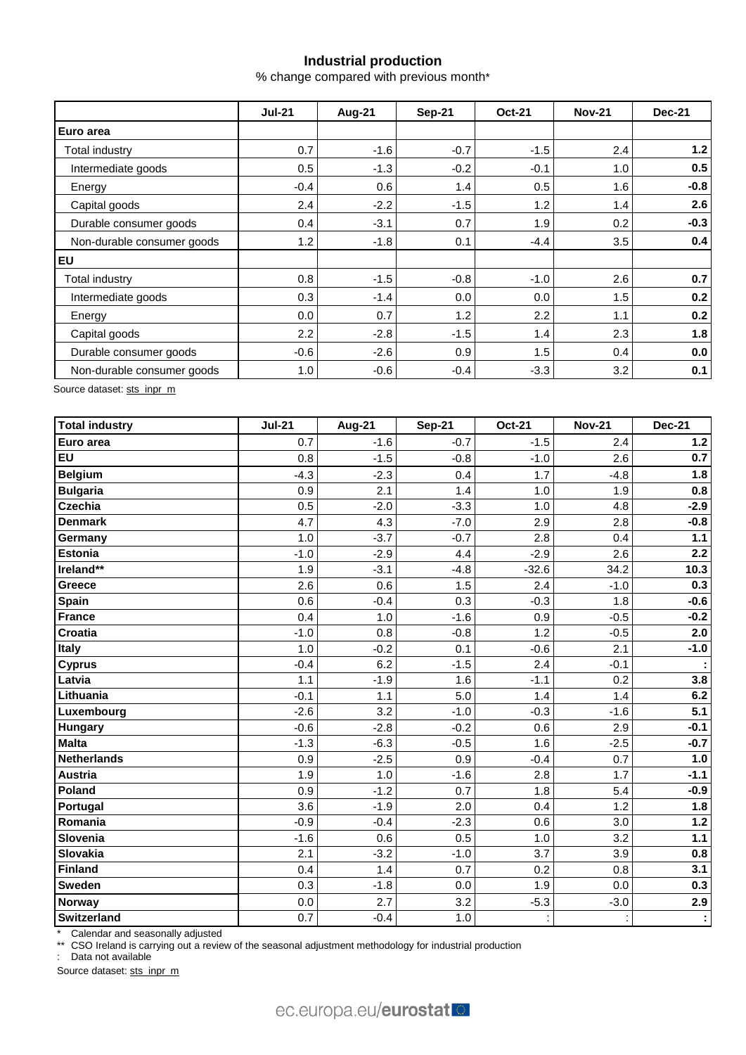# **Industrial production**

% change compared with previous month\*

|                            | <b>Jul-21</b> | <b>Aug-21</b> | <b>Sep-21</b> | <b>Oct-21</b> | <b>Nov-21</b> | <b>Dec-21</b> |  |
|----------------------------|---------------|---------------|---------------|---------------|---------------|---------------|--|
| Euro area                  |               |               |               |               |               |               |  |
| Total industry             | 0.7           | $-1.6$        | $-0.7$        | $-1.5$        | 2.4           | 1.2           |  |
| Intermediate goods         | 0.5           | $-1.3$        | $-0.2$        | $-0.1$        | 1.0           | 0.5           |  |
| Energy                     | $-0.4$        | 0.6           | 1.4           | 0.5           | 1.6           | $-0.8$        |  |
| Capital goods              | 2.4           | $-2.2$        | $-1.5$        | 1.2           | 1.4           | 2.6           |  |
| Durable consumer goods     | 0.4           | $-3.1$        | 0.7           | 1.9           | 0.2           | $-0.3$        |  |
| Non-durable consumer goods | 1.2           | $-1.8$        | 0.1           | $-4.4$        | 3.5           | 0.4           |  |
| <b>EU</b>                  |               |               |               |               |               |               |  |
| Total industry             | 0.8           | $-1.5$        | $-0.8$        | $-1.0$        | 2.6           | 0.7           |  |
| Intermediate goods         | 0.3           | $-1.4$        | 0.0           | 0.0           | 1.5           | 0.2           |  |
| Energy                     | 0.0           | 0.7           | 1.2           | 2.2           | 1.1           | 0.2           |  |
| Capital goods              | 2.2           | $-2.8$        | $-1.5$        | 1.4           | 2.3           | 1.8           |  |
| Durable consumer goods     | $-0.6$        | $-2.6$        | 0.9           | 1.5           | 0.4           | 0.0           |  |
| Non-durable consumer goods | 1.0           | $-0.6$        | $-0.4$        | $-3.3$        | 3.2           | 0.1           |  |

Source dataset: [sts\\_inpr\\_m](https://ec.europa.eu/eurostat/databrowser/view/STS_INPR_M__custom_157426/bookmark/table?lang=en&bookmarkId=e1a37ee0-dd54-4b40-ad2e-a8c4d82279e3)

| <b>Total industry</b> | <b>Jul-21</b> | <b>Aug-21</b> | <b>Sep-21</b> | <b>Oct-21</b> | <b>Nov-21</b> | <b>Dec-21</b> |
|-----------------------|---------------|---------------|---------------|---------------|---------------|---------------|
| Euro area             | 0.7           | $-1.6$        | $-0.7$        | $-1.5$        | 2.4           | $1.2$         |
| <b>EU</b>             | 0.8           | $-1.5$        | $-0.8$        | $-1.0$        | 2.6           | 0.7           |
| <b>Belgium</b>        | $-4.3$        | $-2.3$        | 0.4           | 1.7           | $-4.8$        | 1.8           |
| <b>Bulgaria</b>       | 0.9           | 2.1           | 1.4           | 1.0           | 1.9           | 0.8           |
| <b>Czechia</b>        | 0.5           | $-2.0$        | $-3.3$        | 1.0           | 4.8           | $-2.9$        |
| <b>Denmark</b>        | 4.7           | 4.3           | $-7.0$        | 2.9           | 2.8           | $-0.8$        |
| Germany               | 1.0           | $-3.7$        | $-0.7$        | 2.8           | 0.4           | $1.1$         |
| Estonia               | $-1.0$        | $-2.9$        | 4.4           | $-2.9$        | 2.6           | 2.2           |
| Ireland**             | 1.9           | $-3.1$        | $-4.8$        | $-32.6$       | 34.2          | 10.3          |
| Greece                | 2.6           | 0.6           | 1.5           | 2.4           | $-1.0$        | 0.3           |
| <b>Spain</b>          | 0.6           | $-0.4$        | 0.3           | $-0.3$        | 1.8           | $-0.6$        |
| France                | 0.4           | 1.0           | $-1.6$        | 0.9           | $-0.5$        | $-0.2$        |
| <b>Croatia</b>        | $-1.0$        | 0.8           | $-0.8$        | 1.2           | $-0.5$        | 2.0           |
| <b>Italy</b>          | 1.0           | $-0.2$        | 0.1           | $-0.6$        | 2.1           | $-1.0$        |
| <b>Cyprus</b>         | $-0.4$        | 6.2           | $-1.5$        | 2.4           | $-0.1$        | ÷             |
| Latvia                | 1.1           | $-1.9$        | 1.6           | $-1.1$        | 0.2           | 3.8           |
| Lithuania             | $-0.1$        | 1.1           | 5.0           | 1.4           | 1.4           | 6.2           |
| Luxembourg            | $-2.6$        | 3.2           | $-1.0$        | $-0.3$        | $-1.6$        | 5.1           |
| <b>Hungary</b>        | $-0.6$        | $-2.8$        | $-0.2$        | 0.6           | 2.9           | $-0.1$        |
| <b>Malta</b>          | $-1.3$        | $-6.3$        | $-0.5$        | 1.6           | $-2.5$        | $-0.7$        |
| <b>Netherlands</b>    | 0.9           | $-2.5$        | 0.9           | $-0.4$        | 0.7           | 1.0           |
| Austria               | 1.9           | 1.0           | $-1.6$        | 2.8           | 1.7           | $-1.1$        |
| Poland                | 0.9           | $-1.2$        | 0.7           | 1.8           | 5.4           | $-0.9$        |
| Portugal              | 3.6           | $-1.9$        | 2.0           | 0.4           | 1.2           | 1.8           |
| Romania               | $-0.9$        | $-0.4$        | $-2.3$        | 0.6           | 3.0           | $1.2$         |
| Slovenia              | $-1.6$        | 0.6           | 0.5           | 1.0           | 3.2           | $1.1$         |
| Slovakia              | 2.1           | $-3.2$        | $-1.0$        | 3.7           | 3.9           | 0.8           |
| Finland               | 0.4           | 1.4           | 0.7           | 0.2           | 0.8           | 3.1           |
| <b>Sweden</b>         | 0.3           | $-1.8$        | 0.0           | 1.9           | 0.0           | 0.3           |
| <b>Norway</b>         | 0.0           | 2.7           | 3.2           | $-5.3$        | $-3.0$        | 2.9           |
| <b>Switzerland</b>    | 0.7           | $-0.4$        | 1.0           |               |               | ÷             |

\* Calendar and seasonally adjusted

\*\* CSO Ireland is carrying out a review of the seasonal adjustment methodology for industrial production

: Data not available

Source dataset[: sts\\_inpr\\_m](https://ec.europa.eu/eurostat/databrowser/view/STS_INPR_M__custom_157710/bookmark/table?lang=en&bookmarkId=daad3781-0988-4ae4-8ec3-52334a659e0c)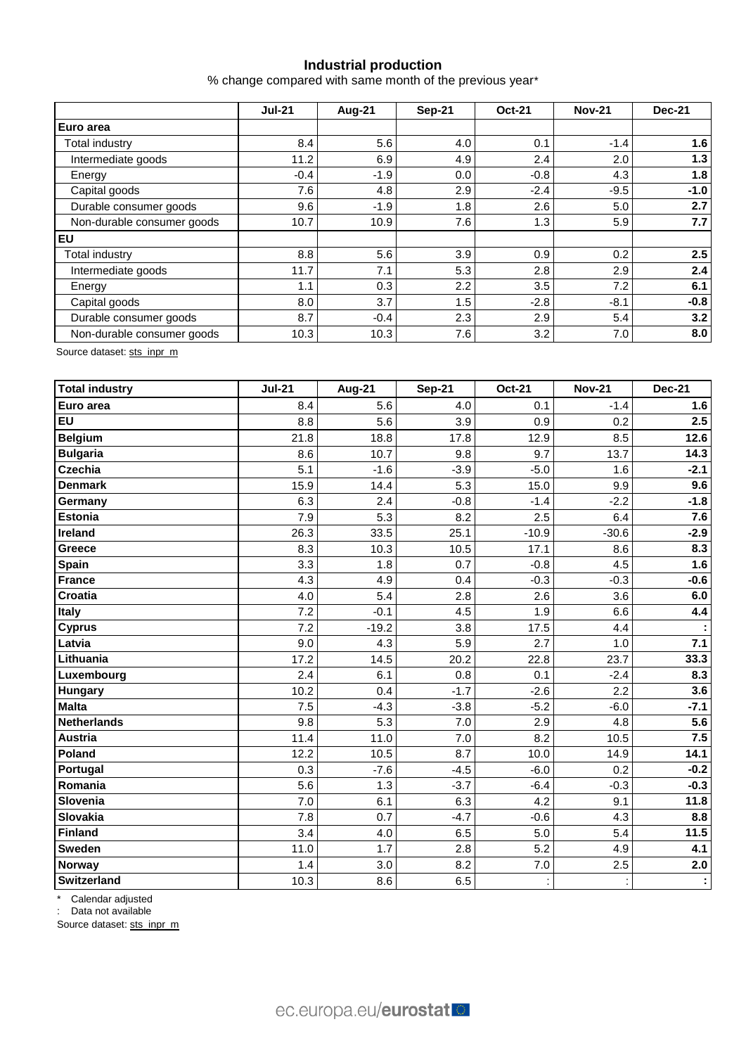# **Industrial production**

% change compared with same month of the previous year\*

|                            | <b>Jul-21</b> | Aug-21 | <b>Sep-21</b> | <b>Oct-21</b> | <b>Nov-21</b> | <b>Dec-21</b> |  |
|----------------------------|---------------|--------|---------------|---------------|---------------|---------------|--|
| Euro area                  |               |        |               |               |               |               |  |
| Total industry             | 8.4           | 5.6    | 4.0           | 0.1           | $-1.4$        | 1.6           |  |
| Intermediate goods         | 11.2          | 6.9    | 4.9           | 2.4           | 2.0           | 1.3           |  |
| Energy                     | $-0.4$        | $-1.9$ | 0.0           | $-0.8$        | 4.3           | 1.8           |  |
| Capital goods              | 7.6           | 4.8    | 2.9           | $-2.4$        | $-9.5$        | $-1.0$        |  |
| Durable consumer goods     | 9.6           | $-1.9$ | 1.8           | 2.6           | 5.0           | 2.7           |  |
| Non-durable consumer goods | 10.7          | 10.9   | 7.6           | 1.3           | 5.9           | 7.7           |  |
| <b>EU</b>                  |               |        |               |               |               |               |  |
| Total industry             | 8.8           | 5.6    | 3.9           | 0.9           | 0.2           | 2.5           |  |
| Intermediate goods         | 11.7          | 7.1    | 5.3           | 2.8           | 2.9           | 2.4           |  |
| Energy                     | 1.1           | 0.3    | 2.2           | 3.5           | 7.2           | 6.1           |  |
| Capital goods              | 8.0           | 3.7    | 1.5           | $-2.8$        | $-8.1$        | $-0.8$        |  |
| Durable consumer goods     | 8.7           | $-0.4$ | 2.3           | 2.9           | 5.4           | 3.2           |  |
| Non-durable consumer goods | 10.3          | 10.3   | 7.6           | 3.2           | 7.0           | 8.0           |  |

Source dataset[: sts\\_inpr\\_m](https://ec.europa.eu/eurostat/databrowser/view/STS_INPR_M__custom_157441/bookmark/table?lang=en&bookmarkId=f48e223b-0717-4e11-b5c7-2e4139ff4ab5)

| <b>Total industry</b> | <b>Jul-21</b> | <b>Aug-21</b> | <b>Sep-21</b> | <b>Oct-21</b> | <b>Nov-21</b> | <b>Dec-21</b> |
|-----------------------|---------------|---------------|---------------|---------------|---------------|---------------|
| Euro area             | 8.4           | 5.6           | 4.0           | 0.1           | $-1.4$        | 1.6           |
| <b>EU</b>             | 8.8           | 5.6           | 3.9           | 0.9           | 0.2           | 2.5           |
| <b>Belgium</b>        | 21.8          | 18.8          | 17.8          | 12.9          | 8.5           | 12.6          |
| <b>Bulgaria</b>       | 8.6           | 10.7          | 9.8           | 9.7           | 13.7          | 14.3          |
| <b>Czechia</b>        | 5.1           | $-1.6$        | $-3.9$        | $-5.0$        | 1.6           | $-2.1$        |
| <b>Denmark</b>        | 15.9          | 14.4          | 5.3           | 15.0          | 9.9           | 9.6           |
| Germany               | 6.3           | 2.4           | $-0.8$        | $-1.4$        | $-2.2$        | $-1.8$        |
| <b>Estonia</b>        | 7.9           | 5.3           | 8.2           | 2.5           | 6.4           | 7.6           |
| Ireland               | 26.3          | 33.5          | 25.1          | $-10.9$       | $-30.6$       | $-2.9$        |
| <b>Greece</b>         | 8.3           | 10.3          | 10.5          | 17.1          | 8.6           | 8.3           |
| <b>Spain</b>          | 3.3           | 1.8           | 0.7           | $-0.8$        | 4.5           | 1.6           |
| France                | 4.3           | 4.9           | 0.4           | $-0.3$        | $-0.3$        | $-0.6$        |
| <b>Croatia</b>        | 4.0           | 5.4           | 2.8           | 2.6           | 3.6           | 6.0           |
| <b>Italy</b>          | 7.2           | $-0.1$        | 4.5           | 1.9           | 6.6           | 4.4           |
| <b>Cyprus</b>         | 7.2           | $-19.2$       | 3.8           | 17.5          | 4.4           |               |
| Latvia                | 9.0           | 4.3           | 5.9           | 2.7           | 1.0           | 7.1           |
| Lithuania             | 17.2          | 14.5          | 20.2          | 22.8          | 23.7          | 33.3          |
| Luxembourg            | 2.4           | 6.1           | 0.8           | 0.1           | $-2.4$        | 8.3           |
| <b>Hungary</b>        | 10.2          | 0.4           | $-1.7$        | $-2.6$        | 2.2           | 3.6           |
| <b>Malta</b>          | 7.5           | $-4.3$        | $-3.8$        | $-5.2$        | $-6.0$        | $-7.1$        |
| <b>Netherlands</b>    | 9.8           | 5.3           | 7.0           | 2.9           | 4.8           | 5.6           |
| <b>Austria</b>        | 11.4          | 11.0          | 7.0           | 8.2           | 10.5          | 7.5           |
| Poland                | 12.2          | 10.5          | 8.7           | 10.0          | 14.9          | 14.1          |
| Portugal              | 0.3           | $-7.6$        | $-4.5$        | $-6.0$        | 0.2           | $-0.2$        |
| Romania               | 5.6           | 1.3           | $-3.7$        | $-6.4$        | $-0.3$        | $-0.3$        |
| Slovenia              | 7.0           | 6.1           | 6.3           | 4.2           | 9.1           | 11.8          |
| Slovakia              | 7.8           | 0.7           | $-4.7$        | $-0.6$        | 4.3           | 8.8           |
| Finland               | 3.4           | 4.0           | 6.5           | 5.0           | 5.4           | 11.5          |
| <b>Sweden</b>         | 11.0          | 1.7           | 2.8           | 5.2           | 4.9           | 4.1           |
| Norway                | 1.4           | 3.0           | 8.2           | 7.0           | 2.5           | 2.0           |
| Switzerland           | 10.3          | 8.6           | 6.5           | ċ             |               | ÷             |

\* Calendar adjusted

: Data not available

Source dataset[: sts\\_inpr\\_m](https://ec.europa.eu/eurostat/databrowser/view/STS_INPR_M__custom_157760/bookmark/table?lang=en&bookmarkId=da24ee79-7a94-48da-a155-c6c0e0b06dfa)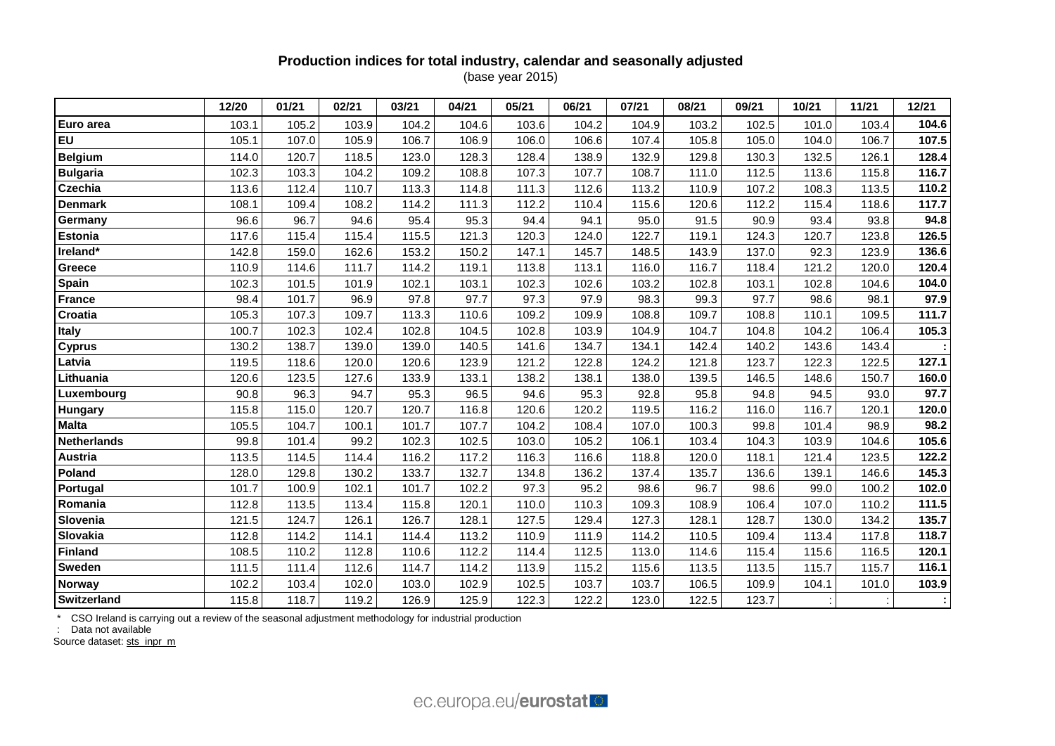# **Production indices for total industry, calendar and seasonally adjusted** (base year 2015)

|                    | 12/20 | 01/21 | 02/21 | 03/21 | 04/21 | 05/21 | 06/21 | 07/21 | 08/21 | 09/21 | 10/21 | 11/21 | 12/21 |
|--------------------|-------|-------|-------|-------|-------|-------|-------|-------|-------|-------|-------|-------|-------|
| Euro area          | 103.1 | 105.2 | 103.9 | 104.2 | 104.6 | 103.6 | 104.2 | 104.9 | 103.2 | 102.5 | 101.0 | 103.4 | 104.6 |
| EU                 | 105.1 | 107.0 | 105.9 | 106.7 | 106.9 | 106.0 | 106.6 | 107.4 | 105.8 | 105.0 | 104.0 | 106.7 | 107.5 |
| <b>Belgium</b>     | 114.0 | 120.7 | 118.5 | 123.0 | 128.3 | 128.4 | 138.9 | 132.9 | 129.8 | 130.3 | 132.5 | 126.1 | 128.4 |
| <b>Bulgaria</b>    | 102.3 | 103.3 | 104.2 | 109.2 | 108.8 | 107.3 | 107.7 | 108.7 | 111.0 | 112.5 | 113.6 | 115.8 | 116.7 |
| Czechia            | 113.6 | 112.4 | 110.7 | 113.3 | 114.8 | 111.3 | 112.6 | 113.2 | 110.9 | 107.2 | 108.3 | 113.5 | 110.2 |
| <b>Denmark</b>     | 108.1 | 109.4 | 108.2 | 114.2 | 111.3 | 112.2 | 110.4 | 115.6 | 120.6 | 112.2 | 115.4 | 118.6 | 117.7 |
| Germany            | 96.6  | 96.7  | 94.6  | 95.4  | 95.3  | 94.4  | 94.1  | 95.0  | 91.5  | 90.9  | 93.4  | 93.8  | 94.8  |
| <b>Estonia</b>     | 117.6 | 115.4 | 115.4 | 115.5 | 121.3 | 120.3 | 124.0 | 122.7 | 119.1 | 124.3 | 120.7 | 123.8 | 126.5 |
| Ireland*           | 142.8 | 159.0 | 162.6 | 153.2 | 150.2 | 147.1 | 145.7 | 148.5 | 143.9 | 137.0 | 92.3  | 123.9 | 136.6 |
| Greece             | 110.9 | 114.6 | 111.7 | 114.2 | 119.1 | 113.8 | 113.1 | 116.0 | 116.7 | 118.4 | 121.2 | 120.0 | 120.4 |
| Spain              | 102.3 | 101.5 | 101.9 | 102.1 | 103.1 | 102.3 | 102.6 | 103.2 | 102.8 | 103.1 | 102.8 | 104.6 | 104.0 |
| <b>France</b>      | 98.4  | 101.7 | 96.9  | 97.8  | 97.7  | 97.3  | 97.9  | 98.3  | 99.3  | 97.7  | 98.6  | 98.1  | 97.9  |
| Croatia            | 105.3 | 107.3 | 109.7 | 113.3 | 110.6 | 109.2 | 109.9 | 108.8 | 109.7 | 108.8 | 110.1 | 109.5 | 111.7 |
| <b>Italy</b>       | 100.7 | 102.3 | 102.4 | 102.8 | 104.5 | 102.8 | 103.9 | 104.9 | 104.7 | 104.8 | 104.2 | 106.4 | 105.3 |
| <b>Cyprus</b>      | 130.2 | 138.7 | 139.0 | 139.0 | 140.5 | 141.6 | 134.7 | 134.1 | 142.4 | 140.2 | 143.6 | 143.4 |       |
| Latvia             | 119.5 | 118.6 | 120.0 | 120.6 | 123.9 | 121.2 | 122.8 | 124.2 | 121.8 | 123.7 | 122.3 | 122.5 | 127.1 |
| Lithuania          | 120.6 | 123.5 | 127.6 | 133.9 | 133.1 | 138.2 | 138.1 | 138.0 | 139.5 | 146.5 | 148.6 | 150.7 | 160.0 |
| Luxembourg         | 90.8  | 96.3  | 94.7  | 95.3  | 96.5  | 94.6  | 95.3  | 92.8  | 95.8  | 94.8  | 94.5  | 93.0  | 97.7  |
| Hungary            | 115.8 | 115.0 | 120.7 | 120.7 | 116.8 | 120.6 | 120.2 | 119.5 | 116.2 | 116.0 | 116.7 | 120.1 | 120.0 |
| <b>Malta</b>       | 105.5 | 104.7 | 100.1 | 101.7 | 107.7 | 104.2 | 108.4 | 107.0 | 100.3 | 99.8  | 101.4 | 98.9  | 98.2  |
| <b>Netherlands</b> | 99.8  | 101.4 | 99.2  | 102.3 | 102.5 | 103.0 | 105.2 | 106.1 | 103.4 | 104.3 | 103.9 | 104.6 | 105.6 |
| <b>Austria</b>     | 113.5 | 114.5 | 114.4 | 116.2 | 117.2 | 116.3 | 116.6 | 118.8 | 120.0 | 118.1 | 121.4 | 123.5 | 122.2 |
| Poland             | 128.0 | 129.8 | 130.2 | 133.7 | 132.7 | 134.8 | 136.2 | 137.4 | 135.7 | 136.6 | 139.1 | 146.6 | 145.3 |
| Portugal           | 101.7 | 100.9 | 102.1 | 101.7 | 102.2 | 97.3  | 95.2  | 98.6  | 96.7  | 98.6  | 99.0  | 100.2 | 102.0 |
| Romania            | 112.8 | 113.5 | 113.4 | 115.8 | 120.1 | 110.0 | 110.3 | 109.3 | 108.9 | 106.4 | 107.0 | 110.2 | 111.5 |
| Slovenia           | 121.5 | 124.7 | 126.1 | 126.7 | 128.1 | 127.5 | 129.4 | 127.3 | 128.1 | 128.7 | 130.0 | 134.2 | 135.7 |
| Slovakia           | 112.8 | 114.2 | 114.1 | 114.4 | 113.2 | 110.9 | 111.9 | 114.2 | 110.5 | 109.4 | 113.4 | 117.8 | 118.7 |
| <b>Finland</b>     | 108.5 | 110.2 | 112.8 | 110.6 | 112.2 | 114.4 | 112.5 | 113.0 | 114.6 | 115.4 | 115.6 | 116.5 | 120.1 |
| <b>Sweden</b>      | 111.5 | 111.4 | 112.6 | 114.7 | 114.2 | 113.9 | 115.2 | 115.6 | 113.5 | 113.5 | 115.7 | 115.7 | 116.1 |
| Norway             | 102.2 | 103.4 | 102.0 | 103.0 | 102.9 | 102.5 | 103.7 | 103.7 | 106.5 | 109.9 | 104.1 | 101.0 | 103.9 |
| <b>Switzerland</b> | 115.8 | 118.7 | 119.2 | 126.9 | 125.9 | 122.3 | 122.2 | 123.0 | 122.5 | 123.7 |       |       |       |

\* CSO Ireland is carrying out a review of the seasonal adjustment methodology for industrial production

: Data not available

Source dataset: [sts\\_inpr\\_m](https://ec.europa.eu/eurostat/databrowser/view/STS_INPR_M__custom_157783/bookmark/table?lang=en&bookmarkId=aaa35620-bc24-4bdd-99af-6d42250032b6)